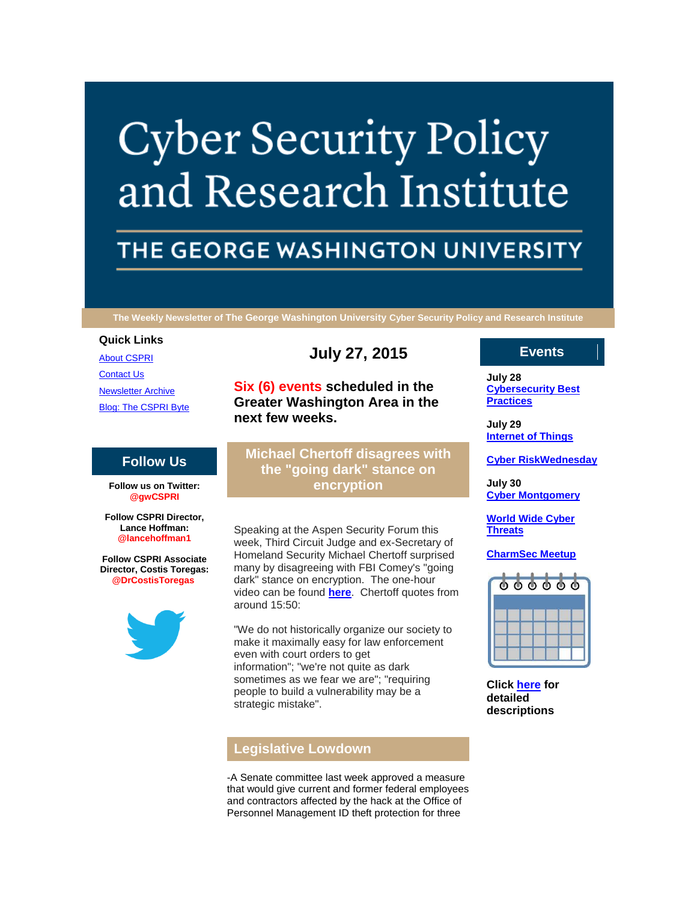# **Cyber Security Policy** and Research Institute

# THE GEORGE WASHINGTON UNIVERSITY

**The Weekly Newsletter of The George Washington University Cyber Security Policy and Research Institute**

#### **Quick Links**

[About CSPRI](http://r20.rs6.net/tn.jsp?f=001q-Z2Zn15mkXkLYI9Ry0-gIbomISzl8NVObYGvYknjd4Fr5Jy_AzhC6rWkwPV9ZR3FGRV5Uv9yZhQozZ893t-IY_meee8OeAuPCF6oHVMJoWb31rFBAIY446hEgMrXTaB-9v24RshkpSu8sNsDyiPN8JOillKdWnFTQzUQiGrspW2gCDxuJEarVb6gw1U6Q72&c=XHll6zP6IlayZERyqP1v-rRYP7lyItY5XjHV8B0mumfInfttYh6FdA==&ch=9mWhG0WlrLrtksgq3yjaK7MX7EUzV0sXDKw3Wim7woq8mfkNEQ2KnA==) [Contact Us](http://r20.rs6.net/tn.jsp?f=001q-Z2Zn15mkXkLYI9Ry0-gIbomISzl8NVObYGvYknjd4Fr5Jy_AzhC6rWkwPV9ZR3ngiG5TGIXWS2z-UQgNhrJxbrYXmlH0z4Fg590E3yvY4tD8DIKdaCHLhERB2gw176n1MfDT_R79egrY5thKDyFgPlbopOE_6ms1DUbokDzMTBZKoRE1dXku0RQGKqGoxabyrPvQsm4uA=&c=XHll6zP6IlayZERyqP1v-rRYP7lyItY5XjHV8B0mumfInfttYh6FdA==&ch=9mWhG0WlrLrtksgq3yjaK7MX7EUzV0sXDKw3Wim7woq8mfkNEQ2KnA==) **[Newsletter Archive](http://r20.rs6.net/tn.jsp?f=001q-Z2Zn15mkXkLYI9Ry0-gIbomISzl8NVObYGvYknjd4Fr5Jy_AzhC6rWkwPV9ZR3hFTZbWvhsktn1vN1BJQlxLVCN9JsL562JMeXtneo8Qbo37-iIeybIwoetVkzARuurFxdWkQFIy-XGK9CH1m0WPn88iF_MIiTsmmELkUiYFYF0SicVfsyvX2u-x3HUq4SqINmnvdsfiI=&c=XHll6zP6IlayZERyqP1v-rRYP7lyItY5XjHV8B0mumfInfttYh6FdA==&ch=9mWhG0WlrLrtksgq3yjaK7MX7EUzV0sXDKw3Wim7woq8mfkNEQ2KnA==) [Blog: The CSPRI Byte](http://r20.rs6.net/tn.jsp?f=001q-Z2Zn15mkXkLYI9Ry0-gIbomISzl8NVObYGvYknjd4Fr5Jy_AzhC6rWkwPV9ZR3pW8BMDLs20wdAhqdryTkKBGzQepSrQvzf_Gp6ObYjrv6BEWJ9fBix_ffFSe-c9k9Z5WYbcgLnX348iBkEp1kfpzvxKDimPq_dhOTOR2Hgbep3VxTI2E1oc1PVfzRMUa1&c=XHll6zP6IlayZERyqP1v-rRYP7lyItY5XjHV8B0mumfInfttYh6FdA==&ch=9mWhG0WlrLrtksgq3yjaK7MX7EUzV0sXDKw3Wim7woq8mfkNEQ2KnA==)** 

# **Follow Us**

**Follow us on Twitter: @gwCSPRI**

**Follow CSPRI Director, Lance Hoffman: @lancehoffman1**

**Follow CSPRI Associate Director, Costis Toregas: @DrCostisToregas**



**July 27, 2015**

**Six (6) events scheduled in the Greater Washington Area in the next few weeks.**

**Michael Chertoff disagrees with the "going dark" stance on encryption**

Speaking at the Aspen Security Forum this week, Third Circuit Judge and ex-Secretary of Homeland Security Michael Chertoff surprised many by disagreeing with FBI Comey's "going dark" stance on encryption. The one-hour video can be found **[here](http://r20.rs6.net/tn.jsp?f=001q-Z2Zn15mkXkLYI9Ry0-gIbomISzl8NVObYGvYknjd4Fr5Jy_AzhC9FewUnBf_AbRSxs1JhJZFild_F2CkyRb1MSjxCsp-lGS54f0_tu2tgEieKkcIQBVYMSOmuI6oaALkMLChpiQdKkPmwurnAI1SVkHDsWMQVh3CzCUj29HzSor3kpKsH2FTTll2RH24YNRCeZ9-ExTmo=&c=XHll6zP6IlayZERyqP1v-rRYP7lyItY5XjHV8B0mumfInfttYh6FdA==&ch=9mWhG0WlrLrtksgq3yjaK7MX7EUzV0sXDKw3Wim7woq8mfkNEQ2KnA==)**. Chertoff quotes from around 15:50:

"We do not historically organize our society to make it maximally easy for law enforcement even with court orders to get information"; "we're not quite as dark sometimes as we fear we are"; "requiring people to build a vulnerability may be a strategic mistake".

# **Legislative Lowdown**

-A Senate committee last week approved a measure that would give current and former federal employees and contractors affected by the hack at the Office of Personnel Management ID theft protection for three

### **Events**

**July 28 [Cybersecurity Best](http://r20.rs6.net/tn.jsp?f=001q-Z2Zn15mkXkLYI9Ry0-gIbomISzl8NVObYGvYknjd4Fr5Jy_AzhCzYs1iBx1PuUdfHY6rybh9q08hS4DZYq_ZqPLcyJNXJpmjfJDPXlnG_s-HOLrc86nj0-rpOn6YH7hCR83aIaQAoQG3bWU0caHqEX1olIcj7Jc5MvECdJaaQJfzFnz3W8LUol0GHpAHCkGabFJJ_VBJs=&c=XHll6zP6IlayZERyqP1v-rRYP7lyItY5XjHV8B0mumfInfttYh6FdA==&ch=9mWhG0WlrLrtksgq3yjaK7MX7EUzV0sXDKw3Wim7woq8mfkNEQ2KnA==)  [Practices](http://r20.rs6.net/tn.jsp?f=001q-Z2Zn15mkXkLYI9Ry0-gIbomISzl8NVObYGvYknjd4Fr5Jy_AzhCzYs1iBx1PuUdfHY6rybh9q08hS4DZYq_ZqPLcyJNXJpmjfJDPXlnG_s-HOLrc86nj0-rpOn6YH7hCR83aIaQAoQG3bWU0caHqEX1olIcj7Jc5MvECdJaaQJfzFnz3W8LUol0GHpAHCkGabFJJ_VBJs=&c=XHll6zP6IlayZERyqP1v-rRYP7lyItY5XjHV8B0mumfInfttYh6FdA==&ch=9mWhG0WlrLrtksgq3yjaK7MX7EUzV0sXDKw3Wim7woq8mfkNEQ2KnA==)**

**July 29 [Internet of Things](http://r20.rs6.net/tn.jsp?f=001q-Z2Zn15mkXkLYI9Ry0-gIbomISzl8NVObYGvYknjd4Fr5Jy_AzhCzYs1iBx1PuUdfHY6rybh9q08hS4DZYq_ZqPLcyJNXJpmjfJDPXlnG_s-HOLrc86nj0-rpOn6YH7hCR83aIaQAoQG3bWU0caHqEX1olIcj7Jc5MvECdJaaQJfzFnz3W8LUol0GHpAHCkGabFJJ_VBJs=&c=XHll6zP6IlayZERyqP1v-rRYP7lyItY5XjHV8B0mumfInfttYh6FdA==&ch=9mWhG0WlrLrtksgq3yjaK7MX7EUzV0sXDKw3Wim7woq8mfkNEQ2KnA==)**

**[Cyber RiskWednesday](http://r20.rs6.net/tn.jsp?f=001q-Z2Zn15mkXkLYI9Ry0-gIbomISzl8NVObYGvYknjd4Fr5Jy_AzhCzYs1iBx1PuUdfHY6rybh9q08hS4DZYq_ZqPLcyJNXJpmjfJDPXlnG_s-HOLrc86nj0-rpOn6YH7hCR83aIaQAoQG3bWU0caHqEX1olIcj7Jc5MvECdJaaQJfzFnz3W8LUol0GHpAHCkGabFJJ_VBJs=&c=XHll6zP6IlayZERyqP1v-rRYP7lyItY5XjHV8B0mumfInfttYh6FdA==&ch=9mWhG0WlrLrtksgq3yjaK7MX7EUzV0sXDKw3Wim7woq8mfkNEQ2KnA==)**

**July 30 [Cyber Montgomery](http://r20.rs6.net/tn.jsp?f=001q-Z2Zn15mkXkLYI9Ry0-gIbomISzl8NVObYGvYknjd4Fr5Jy_AzhCzYs1iBx1PuUdfHY6rybh9q08hS4DZYq_ZqPLcyJNXJpmjfJDPXlnG_s-HOLrc86nj0-rpOn6YH7hCR83aIaQAoQG3bWU0caHqEX1olIcj7Jc5MvECdJaaQJfzFnz3W8LUol0GHpAHCkGabFJJ_VBJs=&c=XHll6zP6IlayZERyqP1v-rRYP7lyItY5XjHV8B0mumfInfttYh6FdA==&ch=9mWhG0WlrLrtksgq3yjaK7MX7EUzV0sXDKw3Wim7woq8mfkNEQ2KnA==)**

**[World Wide Cyber](http://r20.rs6.net/tn.jsp?f=001q-Z2Zn15mkXkLYI9Ry0-gIbomISzl8NVObYGvYknjd4Fr5Jy_AzhCzYs1iBx1PuUdfHY6rybh9q08hS4DZYq_ZqPLcyJNXJpmjfJDPXlnG_s-HOLrc86nj0-rpOn6YH7hCR83aIaQAoQG3bWU0caHqEX1olIcj7Jc5MvECdJaaQJfzFnz3W8LUol0GHpAHCkGabFJJ_VBJs=&c=XHll6zP6IlayZERyqP1v-rRYP7lyItY5XjHV8B0mumfInfttYh6FdA==&ch=9mWhG0WlrLrtksgq3yjaK7MX7EUzV0sXDKw3Wim7woq8mfkNEQ2KnA==)  [Threats](http://r20.rs6.net/tn.jsp?f=001q-Z2Zn15mkXkLYI9Ry0-gIbomISzl8NVObYGvYknjd4Fr5Jy_AzhCzYs1iBx1PuUdfHY6rybh9q08hS4DZYq_ZqPLcyJNXJpmjfJDPXlnG_s-HOLrc86nj0-rpOn6YH7hCR83aIaQAoQG3bWU0caHqEX1olIcj7Jc5MvECdJaaQJfzFnz3W8LUol0GHpAHCkGabFJJ_VBJs=&c=XHll6zP6IlayZERyqP1v-rRYP7lyItY5XjHV8B0mumfInfttYh6FdA==&ch=9mWhG0WlrLrtksgq3yjaK7MX7EUzV0sXDKw3Wim7woq8mfkNEQ2KnA==)**

**[CharmSec Meetup](http://r20.rs6.net/tn.jsp?f=001q-Z2Zn15mkXkLYI9Ry0-gIbomISzl8NVObYGvYknjd4Fr5Jy_AzhCzYs1iBx1PuUdfHY6rybh9q08hS4DZYq_ZqPLcyJNXJpmjfJDPXlnG_s-HOLrc86nj0-rpOn6YH7hCR83aIaQAoQG3bWU0caHqEX1olIcj7Jc5MvECdJaaQJfzFnz3W8LUol0GHpAHCkGabFJJ_VBJs=&c=XHll6zP6IlayZERyqP1v-rRYP7lyItY5XjHV8B0mumfInfttYh6FdA==&ch=9mWhG0WlrLrtksgq3yjaK7MX7EUzV0sXDKw3Wim7woq8mfkNEQ2KnA==)**



**Click [here](http://r20.rs6.net/tn.jsp?f=001q-Z2Zn15mkXkLYI9Ry0-gIbomISzl8NVObYGvYknjd4Fr5Jy_AzhC6rWkwPV9ZR3gWFt28EdUzLK5TpYe6ThNn4xbQ0x83acVTwUR-mX0Nda2p91sFFHw0T9UqcCTBxSUI2BkRfxY_ZV2eQRmTOMMP-fdOeI6KgUs34h5XKjIzQc9gDtv-ng6hXui1KvXfEfPnWYdZQAAvpznMwYI7aamA==&c=XHll6zP6IlayZERyqP1v-rRYP7lyItY5XjHV8B0mumfInfttYh6FdA==&ch=9mWhG0WlrLrtksgq3yjaK7MX7EUzV0sXDKw3Wim7woq8mfkNEQ2KnA==) for detailed descriptions**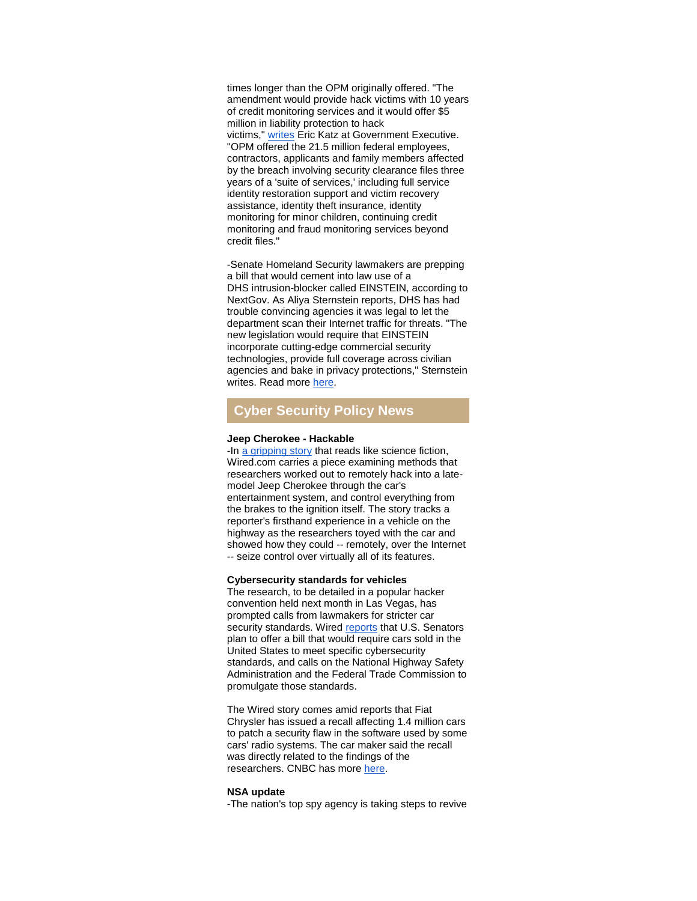times longer than the OPM originally offered. "The amendment would provide hack victims with 10 years of credit monitoring services and it would offer \$5 million in liability protection to hack victims," [writes](http://r20.rs6.net/tn.jsp?f=001q-Z2Zn15mkXkLYI9Ry0-gIbomISzl8NVObYGvYknjd4Fr5Jy_AzhC9FewUnBf_AbucV7p0GYMk4dtz_n-dBH2mEghhqrshNnFhZHvHCLOAfas2Edb5cKn24dYz0E3chDKEx61o_w83BP0psHzc8q0kSn5Qai3vS9ifoQxgmUgy0-gDMfnRavs74hYLTz5cAA26ZXKj5dC1jEkd7XStGVYirM7JDgfg5hIRv1tSkyNkejqV8dvdJLh-8UgfIXBLMU4_g3Rhuo-ijb4izEuEyR1OrhqtkyvwJtxX0CYs22HcXuzdDwFGab5XqbuJSnP9l-jSeyZqxYzL0=&c=XHll6zP6IlayZERyqP1v-rRYP7lyItY5XjHV8B0mumfInfttYh6FdA==&ch=9mWhG0WlrLrtksgq3yjaK7MX7EUzV0sXDKw3Wim7woq8mfkNEQ2KnA==) Eric Katz at Government Executive. "OPM offered the 21.5 million federal employees, contractors, applicants and family members affected by the breach involving security clearance files three years of a 'suite of services,' including full service identity restoration support and victim recovery assistance, identity theft insurance, identity monitoring for minor children, continuing credit monitoring and fraud monitoring services beyond credit files."

-Senate Homeland Security lawmakers are prepping a bill that would cement into law use of a DHS intrusion-blocker called EINSTEIN, according to NextGov. As Aliya Sternstein reports, DHS has had trouble convincing agencies it was legal to let the department scan their Internet traffic for threats. "The new legislation would require that EINSTEIN incorporate cutting-edge commercial security technologies, provide full coverage across civilian agencies and bake in privacy protections," Sternstein writes. Read more [here.](http://r20.rs6.net/tn.jsp?f=001q-Z2Zn15mkXkLYI9Ry0-gIbomISzl8NVObYGvYknjd4Fr5Jy_AzhC9FewUnBf_Abf0hRgBR30WSXN4TW_AZJOHQHgYbY1cmyjTEHM7lHkOLQowUiBK0twDouvxoxfd9er66iZmTeYC4ZZBXStZwAnvDhEIHDXQ8GpcFjEQtq8hyDpwECU_0kOtE7Z74pbPnQtP565pBEFVvCZccjFO48VEitaeyA970jy6aIKkwC3xcRuBkJxW_gOmAbCOYjuPcsgslyfl-xbtDT6XA65EcI18D4ZfNnJLZfBGwnc9O_9e5Z71Be1GrAqPgwXG1pzJhcKXMoVc2RMJpK_ORNNq5s4A==&c=XHll6zP6IlayZERyqP1v-rRYP7lyItY5XjHV8B0mumfInfttYh6FdA==&ch=9mWhG0WlrLrtksgq3yjaK7MX7EUzV0sXDKw3Wim7woq8mfkNEQ2KnA==)

# **Cyber Security Policy News**

#### **Jeep Cherokee - Hackable**

-In [a gripping story](http://r20.rs6.net/tn.jsp?f=001q-Z2Zn15mkXkLYI9Ry0-gIbomISzl8NVObYGvYknjd4Fr5Jy_AzhC9FewUnBf_AbwtlFsJ-xMcw5Tt8jLn28AYpl0Vrs-vgWDE6gfYfxQdvDFLxVY9PNbCrIKt2qZh770TbMffnYTul2fzqba_yh9udxTA3iczNUqDf9cYl2RDC3m9N5O92aXQr82KeUletkJYrZLWFTj8UIH_nrL0zWzNYVtMgPJ50PPnV6zsIQz30=&c=XHll6zP6IlayZERyqP1v-rRYP7lyItY5XjHV8B0mumfInfttYh6FdA==&ch=9mWhG0WlrLrtksgq3yjaK7MX7EUzV0sXDKw3Wim7woq8mfkNEQ2KnA==) that reads like science fiction, Wired.com carries a piece examining methods that researchers worked out to remotely hack into a latemodel Jeep Cherokee through the car's entertainment system, and control everything from the brakes to the ignition itself. The story tracks a reporter's firsthand experience in a vehicle on the highway as the researchers toyed with the car and showed how they could -- remotely, over the Internet -- seize control over virtually all of its features.

#### **Cybersecurity standards for vehicles**

The research, to be detailed in a popular hacker convention held next month in Las Vegas, has prompted calls from lawmakers for stricter car security standards. Wired [reports](http://r20.rs6.net/tn.jsp?f=001q-Z2Zn15mkXkLYI9Ry0-gIbomISzl8NVObYGvYknjd4Fr5Jy_AzhC9FewUnBf_AbDe_Gt-EdFD73SPqwoTY41xUhk4yP2P8sBFXYxl9N_f0OudDFpQiMaOocbCvMiy-Lfqr2wTvn3QEJNXG6S0Zzj9lylvql_me0qREbvnlhThXq92kVtj1LZhM6SKkAfFkiLPWlPQfs4fSLtSCO_oQMRFJhVyQtKUP5ALVyGM29VxSLnYSq3XVlAydyOP-2laLA&c=XHll6zP6IlayZERyqP1v-rRYP7lyItY5XjHV8B0mumfInfttYh6FdA==&ch=9mWhG0WlrLrtksgq3yjaK7MX7EUzV0sXDKw3Wim7woq8mfkNEQ2KnA==) that U.S. Senators plan to offer a bill that would require cars sold in the United States to meet specific cybersecurity standards, and calls on the National Highway Safety Administration and the Federal Trade Commission to promulgate those standards.

The Wired story comes amid reports that Fiat Chrysler has issued a recall affecting 1.4 million cars to patch a security flaw in the software used by some cars' radio systems. The car maker said the recall was directly related to the findings of the researchers. CNBC has more [here.](http://r20.rs6.net/tn.jsp?f=001q-Z2Zn15mkXkLYI9Ry0-gIbomISzl8NVObYGvYknjd4Fr5Jy_AzhC9FewUnBf_AbX1rJlKNmDyM7jYEG7FGCB01kFjtWBcDuJvaX4_lwBed1RY8ey0PP7JIFXR9eTRSNxwrdN8J6HqcSOQrQJVB_cz8CDCa63R5creEaXNWL5m3lrDnJxrjg46dWX78K3LfnyHYZdrb994ozzREa3TEWd-RKYhcSJmQHbxhYbJSstt3liDPAPV9Y-crotuD5RCV68ABWq1TXLIR7LEFbxx9fug==&c=XHll6zP6IlayZERyqP1v-rRYP7lyItY5XjHV8B0mumfInfttYh6FdA==&ch=9mWhG0WlrLrtksgq3yjaK7MX7EUzV0sXDKw3Wim7woq8mfkNEQ2KnA==)

#### **NSA update**

-The nation's top spy agency is taking steps to revive